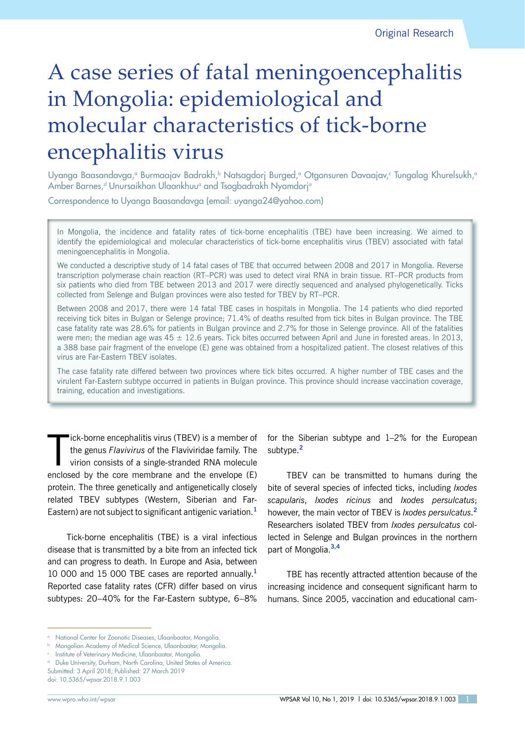# A case series of fatal meningoencephalitis in Mongolia: epidemiological and molecular characteristics of tick-borne encephalitis virus

Uyanga Baasandavga,ª Burmaajav Badrakh,ʰ Natsagdorj Burged,ª Otgonsuren Davaajav,ª Tungalag Khurelsukh,ª Amber Barnes,<sup>d</sup> Unursaikhan Ulaankhuu<sup>a</sup> and Tsogbadrakh Nyamdorj<sup>a</sup>

Correspondence to Uyanga Baasandavga (email: uyanga24@yahoo.com)

In Mongolia, the incidence and fatality rates of tick-borne encephalitis (TBE) have been increasing. We aimed to identify the epidemiological and molecular characteristics of tick-borne encephalitis virus (TBEV) associated with fatal meningoencephalitis in Mongolia.

We conducted a descriptive study of 14 fatal cases of TBE that occurred between 2008 and 2017 in Mongolia. Reverse transcription polymerase chain reaction (RT–PCR) was used to detect viral RNA in brain tissue. RT–PCR products from six patients who died from TBE between 2013 and 2017 were directly sequenced and analysed phylogenetically. Ticks collected from Selenge and Bulgan provinces were also tested for TBEV by RT–PCR.

Between 2008 and 2017, there were 14 fatal TBE cases in hospitals in Mongolia. The 14 patients who died reported receiving tick bites in Bulgan or Selenge province; 71.4% of deaths resulted from tick bites in Bulgan province. The TBE case fatality rate was 28.6% for patients in Bulgan province and 2.7% for those in Selenge province. All of the fatalities were men; the median age was  $45 \pm 12.6$  years. Tick bites occurred between April and June in forested areas. In 2013, a 388 base pair fragment of the envelope (E) gene was obtained from a hospitalized patient. The closest relatives of this virus are Far-Eastern TBEV isolates.

The case fatality rate differed between two provinces where tick bites occurred. A higher number of TBE cases and the virulent Far-Eastern subtype occurred in patients in Bulgan province. This province should increase vaccination coverage, training, education and investigations.

 $\prod$ ick-borne encephalitis virus (TBEV) is a member of the genus *Flavivirus* of the Flaviviridae family. The virion consists of a single-stranded RNA molecule enclosed by the core membrane and the envelope (E) protein. The three genetically and antigenetically closely related TBEV subtypes (Western, Siberian and Far-Eastern) are not subject to significant antigenic variation.**<sup>1</sup>**

Tick-borne encephalitis (TBE) is a viral infectious disease that is transmitted by a bite from an infected tick and can progress to death. In Europe and Asia, between 10 000 and 15 000 TBE cases are reported annually.**<sup>1</sup>** Reported case fatality rates (CFR) differ based on virus subtypes: 20–40% for the Far-Eastern subtype, 6–8%

for the Siberian subtype and 1–2% for the European subtype.**<sup>2</sup>**

TBEV can be transmitted to humans during the bite of several species of infected ticks, including *Ixodes scapularis*, *Ixodes ricinus* and *Ixodes persulcatus*; however, the main vector of TBEV is *Ixodes persulcatus*. **2** Researchers isolated TBEV from *Ixodes persulcatus* collected in Selenge and Bulgan provinces in the northern part of Mongolia.**3,4**

TBE has recently attracted attention because of the increasing incidence and consequent significant harm to humans. Since 2005, vaccination and educational cam-

<sup>&</sup>lt;sup>a</sup> National Center for Zoonotic Diseases, Ulaanbaatar, Mongolia.

<sup>b</sup> Mongolian Academy of Medical Science, Ulaanbaatar, Mongolia.

<sup>c</sup> Institute of Veterinary Medicine, Ulaanbaatar, Mongolia.

Duke University, Durham, North Carolina, United States of America. Submitted: 3 April 2018; Published: 27 March 2019

doi: 10.5365/wpsar.2018.9.1.003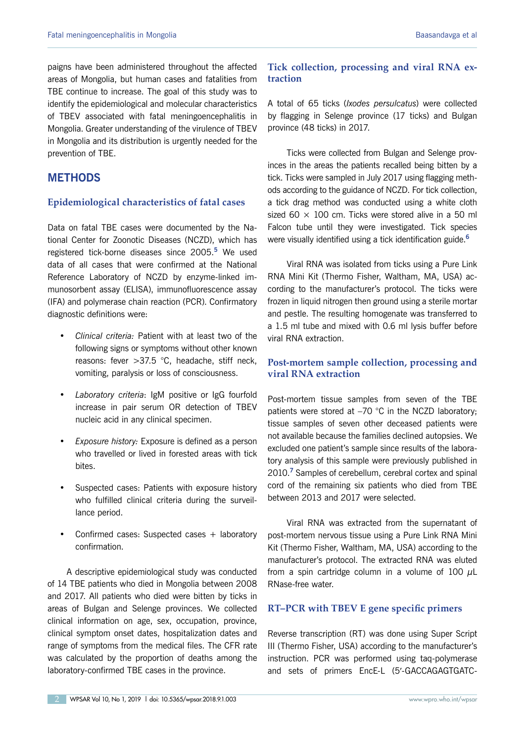paigns have been administered throughout the affected areas of Mongolia, but human cases and fatalities from TBE continue to increase. The goal of this study was to identify the epidemiological and molecular characteristics of TBEV associated with fatal meningoencephalitis in Mongolia. Greater understanding of the virulence of TBEV in Mongolia and its distribution is urgently needed for the prevention of TBE.

# **METHODS**

### **Epidemiological characteristics of fatal cases**

Data on fatal TBE cases were documented by the National Center for Zoonotic Diseases (NCZD), which has registered tick-borne diseases since 2005.**<sup>5</sup>** We used data of all cases that were confirmed at the National Reference Laboratory of NCZD by enzyme-linked immunosorbent assay (ELISA), immunofluorescence assay (IFA) and polymerase chain reaction (PCR). Confirmatory diagnostic definitions were:

- *Clinical criteria:* Patient with at least two of the following signs or symptoms without other known reasons: fever >37.5 °C, headache, stiff neck, vomiting, paralysis or loss of consciousness.
- *Laboratory criteria*: IgM positive or IgG fourfold increase in pair serum OR detection of TBEV nucleic acid in any clinical specimen.
- *Exposure history:* Exposure is defined as a person who travelled or lived in forested areas with tick bites.
- Suspected cases: Patients with exposure history who fulfilled clinical criteria during the surveillance period.
- Confirmed cases: Suspected cases + laboratory confirmation.

A descriptive epidemiological study was conducted of 14 TBE patients who died in Mongolia between 2008 and 2017. All patients who died were bitten by ticks in areas of Bulgan and Selenge provinces. We collected clinical information on age, sex, occupation, province, clinical symptom onset dates, hospitalization dates and range of symptoms from the medical files. The CFR rate was calculated by the proportion of deaths among the laboratory-confirmed TBE cases in the province.

# **Tick collection, processing and viral RNA extraction**

A total of 65 ticks (*Ixodes persulcatus*) were collected by flagging in Selenge province (17 ticks) and Bulgan province (48 ticks) in 2017.

Ticks were collected from Bulgan and Selenge provinces in the areas the patients recalled being bitten by a tick. Ticks were sampled in July 2017 using flagging methods according to the guidance of NCZD. For tick collection, a tick drag method was conducted using a white cloth sized 60  $\times$  100 cm. Ticks were stored alive in a 50 ml Falcon tube until they were investigated. Tick species were visually identified using a tick identification guide.**<sup>6</sup>**

Viral RNA was isolated from ticks using a Pure Link RNA Mini Kit (Thermo Fisher, Waltham, MA, USA) according to the manufacturer's protocol. The ticks were frozen in liquid nitrogen then ground using a sterile mortar and pestle. The resulting homogenate was transferred to a 1.5 ml tube and mixed with 0.6 ml lysis buffer before viral RNA extraction.

# **Post-mortem sample collection, processing and viral RNA extraction**

Post-mortem tissue samples from seven of the TBE patients were stored at −70 °C in the NCZD laboratory; tissue samples of seven other deceased patients were not available because the families declined autopsies. We excluded one patient's sample since results of the laboratory analysis of this sample were previously published in 2010.**<sup>7</sup>** Samples of cerebellum, cerebral cortex and spinal cord of the remaining six patients who died from TBE between 2013 and 2017 were selected.

Viral RNA was extracted from the supernatant of post-mortem nervous tissue using a Pure Link RNA Mini Kit (Thermo Fisher, Waltham, MA, USA) according to the manufacturer's protocol. The extracted RNA was eluted from a spin cartridge column in a volume of 100  $\mu$ L RNase-free water.

# **RT–PCR with TBEV E gene specific primers**

Reverse transcription (RT) was done using Super Script III (Thermo Fisher, USA) according to the manufacturer's instruction. PCR was performed using taq-polymerase and sets of primers EncE-L (5′-GACCAGAGTGATC-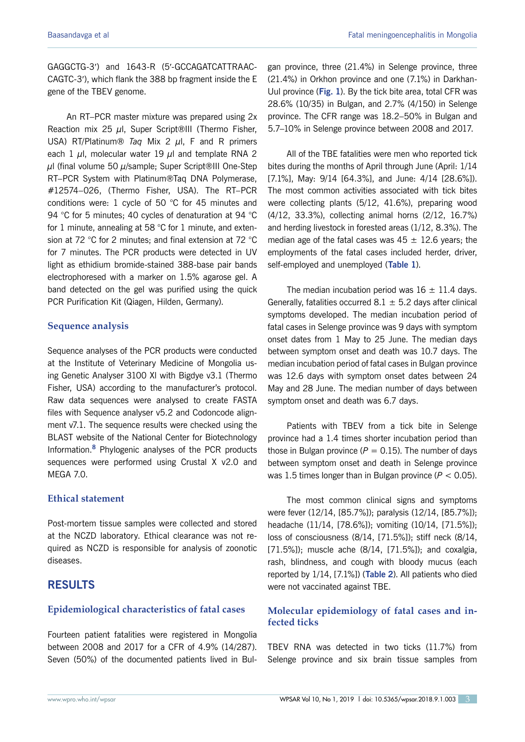GAGGCTG-3′) and 1643-R (5′-GCCAGATCATTRAAC-CAGTC-3′), which flank the 388 bp fragment inside the E gene of the TBEV genome.

An RT–PCR master mixture was prepared using 2x Reaction mix 25  $\mu$ l, Super Script®III (Thermo Fisher, USA) RT/Platinum® *Taq* Mix 2 µl, F and R primers each 1  $\mu$ l, molecular water 19  $\mu$ l and template RNA 2  $\mu$ l (final volume 50  $\mu$ /sample; Super Script®III One-Step RT–PCR System with Platinum®Taq DNA Polymerase, #12574–026, (Thermo Fisher, USA). The RT–PCR conditions were: 1 cycle of 50 °C for 45 minutes and 94 °C for 5 minutes; 40 cycles of denaturation at 94 °C for 1 minute, annealing at 58 °C for 1 minute, and extension at 72 °C for 2 minutes; and final extension at 72 °C for 7 minutes. The PCR products were detected in UV light as ethidium bromide-stained 388-base pair bands electrophoresed with a marker on 1.5% agarose gel. A band detected on the gel was purified using the quick PCR Purification Kit (Qiagen, Hilden, Germany).

# **Sequence analysis**

Sequence analyses of the PCR products were conducted at the Institute of Veterinary Medicine of Mongolia using Genetic Analyser 3100 Xl with Bigdye v3.1 (Thermo Fisher, USA) according to the manufacturer's protocol. Raw data sequences were analysed to create FASTA files with Sequence analyser v5.2 and Codoncode alignment v7.1. The sequence results were checked using the BLAST website of the National Center for Biotechnology Information.**<sup>8</sup>** Phylogenic analyses of the PCR products sequences were performed using Crustal X v2.0 and MEGA 7.0.

# **Ethical statement**

Post-mortem tissue samples were collected and stored at the NCZD laboratory. Ethical clearance was not required as NCZD is responsible for analysis of zoonotic diseases.

# **RESULTS**

# **Epidemiological characteristics of fatal cases**

Fourteen patient fatalities were registered in Mongolia between 2008 and 2017 for a CFR of 4.9% (14/287). Seven (50%) of the documented patients lived in Bulgan province, three (21.4%) in Selenge province, three (21.4%) in Orkhon province and one (7.1%) in Darkhan-Uul province (**[Fig.](#page-3-0) 1**). By the tick bite area, total CFR was 28.6% (10/35) in Bulgan, and 2.7% (4/150) in Selenge province. The CFR range was 18.2–50% in Bulgan and 5.7–10% in Selenge province between 2008 and 2017.

All of the TBE fatalities were men who reported tick bites during the months of April through June (April: 1/14 [7.1%], May: 9/14 [64.3%], and June: 4/14 [28.6%]). The most common activities associated with tick bites were collecting plants (5/12, 41.6%), preparing wood (4/12, 33.3%), collecting animal horns (2/12, 16.7%) and herding livestock in forested areas (1/12, 8.3%). The median age of the fatal cases was  $45 \pm 12.6$  years; the employments of the fatal cases included herder, driver, self-employed and unemployed (**[Table](#page-3-0) 1**).

The median incubation period was  $16 \pm 11.4$  days. Generally, fatalities occurred  $8.1 \pm 5.2$  days after clinical symptoms developed. The median incubation period of fatal cases in Selenge province was 9 days with symptom onset dates from 1 May to 25 June. The median days between symptom onset and death was 10.7 days. The median incubation period of fatal cases in Bulgan province was 12.6 days with symptom onset dates between 24 May and 28 June. The median number of days between symptom onset and death was 6.7 days.

Patients with TBEV from a tick bite in Selenge province had a 1.4 times shorter incubation period than those in Bulgan province ( $P = 0.15$ ). The number of days between symptom onset and death in Selenge province was 1.5 times longer than in Bulgan province (*P* < 0.05).

The most common clinical signs and symptoms were fever (12/14, [85.7%]); paralysis (12/14, [85.7%]); headache (11/14, [78.6%]); vomiting (10/14, [71.5%]); loss of consciousness (8/14, [71.5%]); stiff neck (8/14, [71.5%]); muscle ache (8/14, [71.5%]); and coxalgia, rash, blindness, and cough with bloody mucus (each reported by 1/14, [7.1%]) (**[Table](#page-4-0) 2**). All patients who died were not vaccinated against TBE.

# **Molecular epidemiology of fatal cases and infected ticks**

TBEV RNA was detected in two ticks (11.7%) from Selenge province and six brain tissue samples from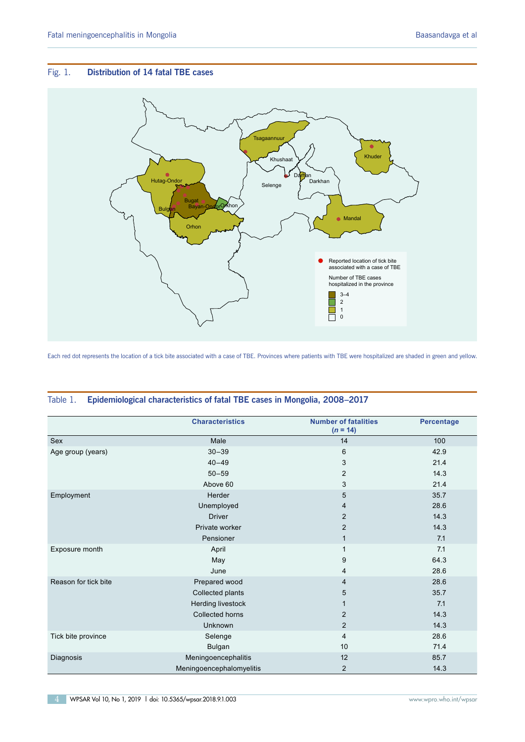### <span id="page-3-0"></span>Fig. 1. **Distribution of 14 fatal TBE cases**



Each red dot represents the location of a tick bite associated with a case of TBE. Provinces where patients with TBE were hospitalized are shaded in green and yellow.

|                      | <b>Characteristics</b>   | <b>Number of fatalities</b><br>$(n = 14)$ | <b>Percentage</b> |
|----------------------|--------------------------|-------------------------------------------|-------------------|
| Sex                  | Male                     | 14                                        | 100               |
| Age group (years)    | $30 - 39$                | $6\phantom{1}$                            | 42.9              |
|                      | $40 - 49$                | 3                                         | 21.4              |
|                      | $50 - 59$                | $\overline{2}$                            | 14.3              |
|                      | Above 60                 | 3                                         | 21.4              |
| Employment           | Herder                   | 5                                         | 35.7              |
|                      | Unemployed               | 4                                         | 28.6              |
|                      | <b>Driver</b>            | 2                                         | 14.3              |
|                      | Private worker           | $\overline{2}$                            | 14.3              |
|                      | Pensioner                | $\mathbf{1}$                              | 7.1               |
| Exposure month       | April                    | $\mathbf{1}$                              | 7.1               |
|                      | May                      | 9                                         | 64.3              |
|                      | June                     | $\overline{4}$                            | 28.6              |
| Reason for tick bite | Prepared wood            | $\overline{4}$                            | 28.6              |
|                      | Collected plants         | 5                                         | 35.7              |
|                      | Herding livestock        | 1                                         | 7.1               |
|                      | Collected horns          | $\overline{2}$                            | 14.3              |
|                      | Unknown                  | $\overline{2}$                            | 14.3              |
| Tick bite province   | Selenge                  | $\overline{4}$                            | 28.6              |
|                      | Bulgan                   | 10                                        | 71.4              |
| Diagnosis            | Meningoencephalitis      | 12                                        | 85.7              |
|                      | Meningoencephalomyelitis | $\overline{c}$                            | 14.3              |

### Table 1. **Epidemiological characteristics of fatal TBE cases in Mongolia, 2008–2017**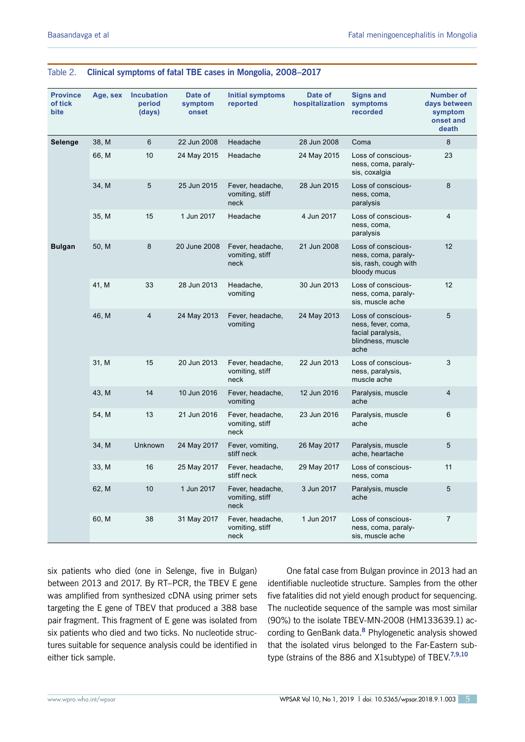| <b>Province</b><br>of tick<br>bite | Age, sex | <b>Incubation</b><br>period<br>(days) | Date of<br>symptom<br>onset | <b>Initial symptoms</b><br>reported         | Date of<br>hospitalization | <b>Signs and</b><br>symptoms<br>recorded                                                   | <b>Number of</b><br>days between<br>symptom<br>onset and<br>death |
|------------------------------------|----------|---------------------------------------|-----------------------------|---------------------------------------------|----------------------------|--------------------------------------------------------------------------------------------|-------------------------------------------------------------------|
| Selenge                            | 38, M    | 6                                     | 22 Jun 2008                 | Headache                                    | 28 Jun 2008                | Coma                                                                                       | 8                                                                 |
|                                    | 66, M    | 10                                    | 24 May 2015                 | Headache                                    | 24 May 2015                | Loss of conscious-<br>ness, coma, paraly-<br>sis, coxalgia                                 | 23                                                                |
|                                    | 34, M    | 5                                     | 25 Jun 2015                 | Fever, headache,<br>vomiting, stiff<br>neck | 28 Jun 2015                | Loss of conscious-<br>ness, coma,<br>paralysis                                             | 8                                                                 |
|                                    | 35, M    | 15                                    | 1 Jun 2017                  | Headache                                    | 4 Jun 2017                 | Loss of conscious-<br>ness, coma,<br>paralysis                                             | 4                                                                 |
| <b>Bulgan</b>                      | 50, M    | 8                                     | 20 June 2008                | Fever, headache,<br>vomiting, stiff<br>neck | 21 Jun 2008                | Loss of conscious-<br>ness, coma, paraly-<br>sis, rash, cough with<br>bloody mucus         | 12                                                                |
|                                    | 41, M    | 33                                    | 28 Jun 2013                 | Headache,<br>vomiting                       | 30 Jun 2013                | Loss of conscious-<br>ness, coma, paraly-<br>sis, muscle ache                              | 12                                                                |
|                                    | 46, M    | $\overline{4}$                        | 24 May 2013                 | Fever, headache,<br>vomiting                | 24 May 2013                | Loss of conscious-<br>ness, fever, coma,<br>facial paralysis,<br>blindness, muscle<br>ache | 5                                                                 |
|                                    | 31, M    | 15                                    | 20 Jun 2013                 | Fever, headache,<br>vomiting, stiff<br>neck | 22 Jun 2013                | Loss of conscious-<br>ness, paralysis,<br>muscle ache                                      | 3                                                                 |
|                                    | 43, M    | 14                                    | 10 Jun 2016                 | Fever, headache,<br>vomiting                | 12 Jun 2016                | Paralysis, muscle<br>ache                                                                  | 4                                                                 |
|                                    | 54, M    | 13                                    | 21 Jun 2016                 | Fever, headache,<br>vomiting, stiff<br>neck | 23 Jun 2016                | Paralysis, muscle<br>ache                                                                  | 6                                                                 |
|                                    | 34, M    | <b>Unknown</b>                        | 24 May 2017                 | Fever, vomiting,<br>stiff neck              | 26 May 2017                | Paralysis, muscle<br>ache, heartache                                                       | 5                                                                 |
|                                    | 33, M    | 16                                    | 25 May 2017                 | Fever, headache,<br>stiff neck              | 29 May 2017                | Loss of conscious-<br>ness, coma                                                           | 11                                                                |
|                                    | 62, M    | 10                                    | 1 Jun 2017                  | Fever, headache,<br>vomiting, stiff<br>neck | 3 Jun 2017                 | Paralysis, muscle<br>ache                                                                  | 5                                                                 |
|                                    | 60, M    | 38                                    | 31 May 2017                 | Fever, headache,<br>vomiting, stiff<br>neck | 1 Jun 2017                 | Loss of conscious-<br>ness, coma, paraly-<br>sis, muscle ache                              | $\overline{7}$                                                    |

## <span id="page-4-0"></span>Table 2. **Clinical symptoms of fatal TBE cases in Mongolia, 2008–2017**

six patients who died (one in Selenge, five in Bulgan) between 2013 and 2017. By RT–PCR, the TBEV E gene was amplified from synthesized cDNA using primer sets targeting the E gene of TBEV that produced a 388 base pair fragment. This fragment of E gene was isolated from six patients who died and two ticks. No nucleotide structures suitable for sequence analysis could be identified in either tick sample.

One fatal case from Bulgan province in 2013 had an identifiable nucleotide structure. Samples from the other five fatalities did not yield enough product for sequencing. The nucleotide sequence of the sample was most similar (90%) to the isolate TBEV-MN-2008 (HM133639.1) according to GenBank data.**<sup>8</sup>** Phylogenetic analysis showed that the isolated virus belonged to the Far-Eastern subtype (strains of the 886 and X1subtype) of TBEV<sup>7,9,10</sup>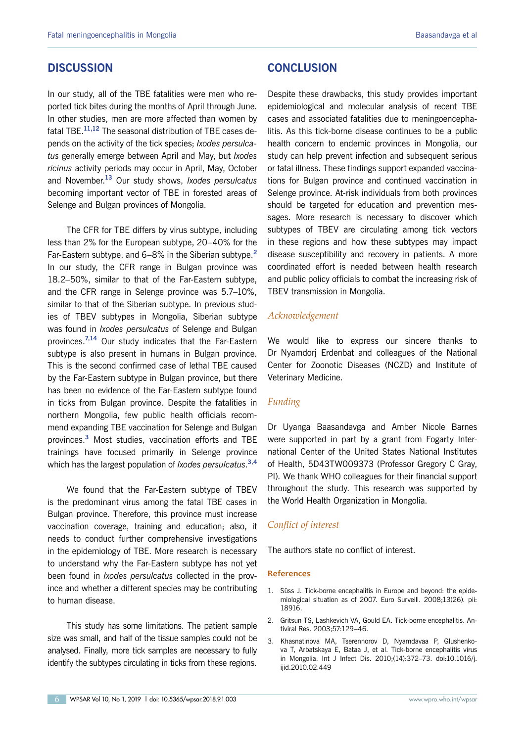# **DISCUSSION**

In our study, all of the TBE fatalities were men who reported tick bites during the months of April through June. In other studies, men are more affected than women by fatal TBE.**11,12** The seasonal distribution of TBE cases depends on the activity of the tick species; *Ixodes persulcatus* generally emerge between April and May, but *Ixodes ricinus* activity periods may occur in April, May, October and November.**<sup>13</sup>** Our study shows, *Ixodes persulcatus* becoming important vector of TBE in forested areas of Selenge and Bulgan provinces of Mongolia.

The CFR for TBE differs by virus subtype, including less than 2% for the European subtype, 20–40% for the Far-Eastern subtype, and 6–8% in the Siberian subtype.**<sup>2</sup>** In our study, the CFR range in Bulgan province was 18.2–50%, similar to that of the Far-Eastern subtype, and the CFR range in Selenge province was 5.7–10%, similar to that of the Siberian subtype. In previous studies of TBEV subtypes in Mongolia, Siberian subtype was found in *Ixodes persulcatus* of Selenge and Bulgan provinces.**7,14** Our study indicates that the Far-Eastern subtype is also present in humans in Bulgan province. This is the second confirmed case of lethal TBE caused by the Far-Eastern subtype in Bulgan province, but there has been no evidence of the Far-Eastern subtype found in ticks from Bulgan province. Despite the fatalities in northern Mongolia, few public health officials recommend expanding TBE vaccination for Selenge and Bulgan provinces.**<sup>3</sup>** Most studies, vaccination efforts and TBE trainings have focused primarily in Selenge province which has the largest population of *Ixodes persulcatus*. **3,4**

We found that the Far-Eastern subtype of TBEV is the predominant virus among the fatal TBE cases in Bulgan province. Therefore, this province must increase vaccination coverage, training and education; also, it needs to conduct further comprehensive investigations in the epidemiology of TBE. More research is necessary to understand why the Far-Eastern subtype has not yet been found in *Ixodes persulcatus* collected in the province and whether a different species may be contributing to human disease.

This study has some limitations. The patient sample size was small, and half of the tissue samples could not be analysed. Finally, more tick samples are necessary to fully identify the subtypes circulating in ticks from these regions.

Despite these drawbacks, this study provides important epidemiological and molecular analysis of recent TBE cases and associated fatalities due to meningoencephalitis. As this tick-borne disease continues to be a public health concern to endemic provinces in Mongolia, our study can help prevent infection and subsequent serious or fatal illness. These findings support expanded vaccinations for Bulgan province and continued vaccination in Selenge province. At-risk individuals from both provinces should be targeted for education and prevention messages. More research is necessary to discover which subtypes of TBEV are circulating among tick vectors in these regions and how these subtypes may impact disease susceptibility and recovery in patients. A more coordinated effort is needed between health research and public policy officials to combat the increasing risk of TBEV transmission in Mongolia.

#### *Acknowledgement*

We would like to express our sincere thanks to Dr Nyamdorj Erdenbat and colleagues of the National Center for Zoonotic Diseases (NCZD) and Institute of Veterinary Medicine.

#### *Funding*

Dr Uyanga Baasandavga and Amber Nicole Barnes were supported in part by a grant from Fogarty International Center of the United States National Institutes of Health, 5D43TW009373 (Professor Gregory C Gray, PI). We thank WHO colleagues for their financial support throughout the study. This research was supported by the World Health Organization in Mongolia.

## *Conflict of interest*

The authors state no conflict of interest.

#### **References**

- 1. Süss J. Tick-borne encephalitis in Europe and beyond: the epidemiological situation as of 2007. Euro Surveill. 2008;13(26). pii: 18916.
- 2. Gritsun TS, Lashkevich VA, Gould EA. Tick-borne encephalitis. Antiviral Res. 2003;57:129–46.
- 3. Khasnatinova MA, Tserennorov D, Nyamdavaa P, Glushenkova T, Arbatskaya E, Bataa J, et al. Tick-borne encephalitis virus in Mongolia. Int J Infect Dis. 2010;(14):372–73. [doi:10.1016/j.](https://doi.org/10.1016/j.ijid.2010.02.449) [ijid.2010.02.449](https://doi.org/10.1016/j.ijid.2010.02.449)